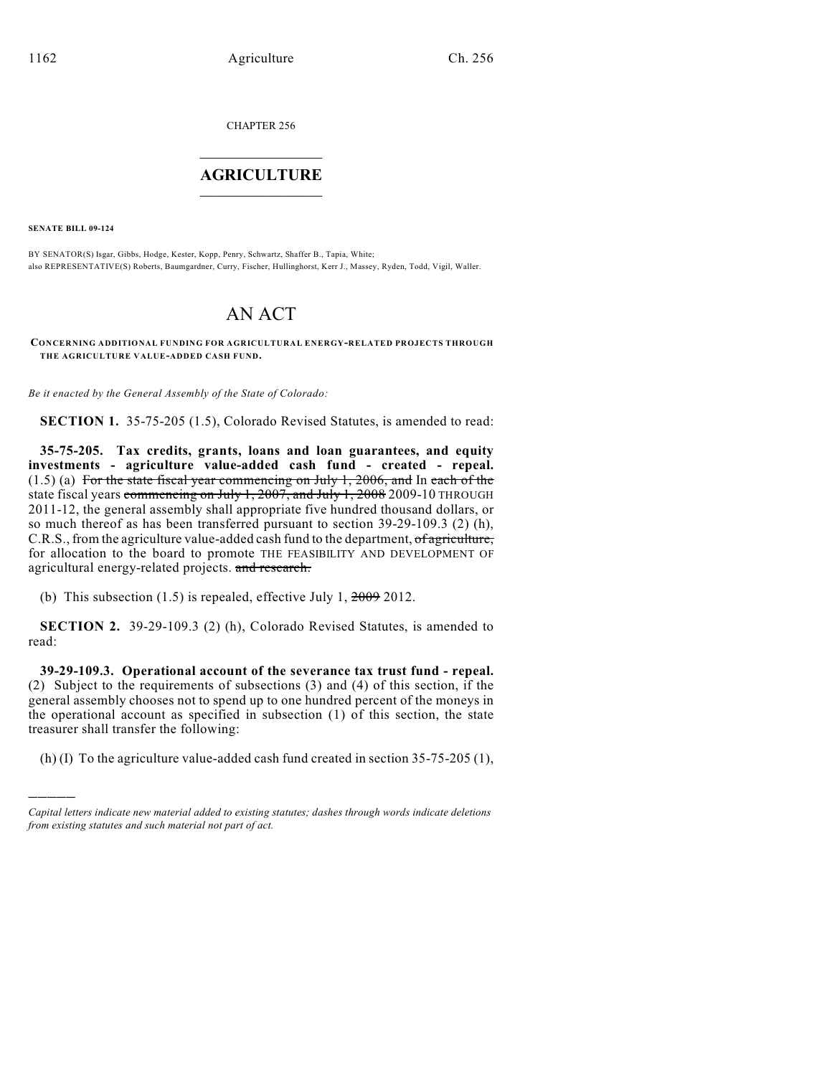CHAPTER 256

## $\overline{\phantom{a}}$  . The set of the set of the set of the set of the set of the set of the set of the set of the set of the set of the set of the set of the set of the set of the set of the set of the set of the set of the set o **AGRICULTURE**  $\_$   $\_$   $\_$   $\_$   $\_$   $\_$   $\_$   $\_$

**SENATE BILL 09-124**

)))))

BY SENATOR(S) Isgar, Gibbs, Hodge, Kester, Kopp, Penry, Schwartz, Shaffer B., Tapia, White; also REPRESENTATIVE(S) Roberts, Baumgardner, Curry, Fischer, Hullinghorst, Kerr J., Massey, Ryden, Todd, Vigil, Waller.

## AN ACT

**CONCERNING ADDITIONAL FUNDING FOR AGRICULTURAL ENERGY-RELATED PROJECTS THROUGH THE AGRICULTURE VALUE-ADDED CASH FUND.**

*Be it enacted by the General Assembly of the State of Colorado:*

**SECTION 1.** 35-75-205 (1.5), Colorado Revised Statutes, is amended to read:

**35-75-205. Tax credits, grants, loans and loan guarantees, and equity investments - agriculture value-added cash fund - created - repeal.**  $(1.5)$  (a) For the state fiscal year commencing on July 1, 2006, and In each of the state fiscal years commencing on July 1, 2007, and July 1, 2008 2009-10 THROUGH 2011-12, the general assembly shall appropriate five hundred thousand dollars, or so much thereof as has been transferred pursuant to section 39-29-109.3 (2) (h), C.R.S., from the agriculture value-added cash fund to the department, of agriculture, for allocation to the board to promote THE FEASIBILITY AND DEVELOPMENT OF agricultural energy-related projects. and research.

(b) This subsection  $(1.5)$  is repealed, effective July 1,  $\frac{2009}{2012}$ .

**SECTION 2.** 39-29-109.3 (2) (h), Colorado Revised Statutes, is amended to read:

**39-29-109.3. Operational account of the severance tax trust fund - repeal.** (2) Subject to the requirements of subsections (3) and (4) of this section, if the general assembly chooses not to spend up to one hundred percent of the moneys in the operational account as specified in subsection (1) of this section, the state treasurer shall transfer the following:

(h) (I) To the agriculture value-added cash fund created in section 35-75-205 (1),

*Capital letters indicate new material added to existing statutes; dashes through words indicate deletions from existing statutes and such material not part of act.*